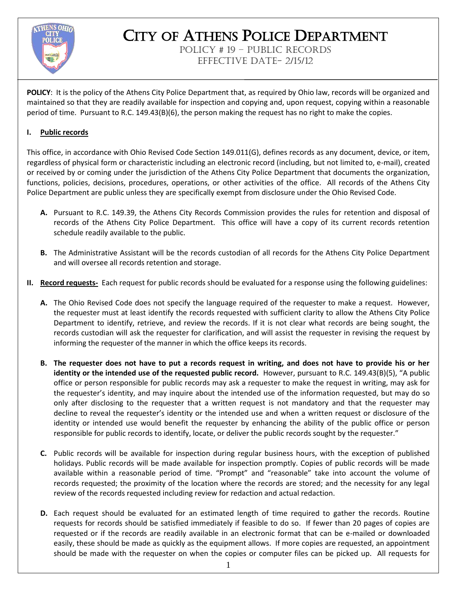

## CITY OF ATHENS POLICE DEPARTMENT

Policy # 19 – Public records Effective Date- 2/15/12

**POLICY**: It is the policy of the Athens City Police Department that, as required by Ohio law, records will be organized and maintained so that they are readily available for inspection and copying and, upon request, copying within a reasonable period of time. Pursuant to R.C. 149.43(B)(6), the person making the request has no right to make the copies.

## **I. Public records**

This office, in accordance with Ohio Revised Code Section 149.011(G), defines records as any document, device, or item, regardless of physical form or characteristic including an electronic record (including, but not limited to, e-mail), created or received by or coming under the jurisdiction of the Athens City Police Department that documents the organization, functions, policies, decisions, procedures, operations, or other activities of the office. All records of the Athens City Police Department are public unless they are specifically exempt from disclosure under the Ohio Revised Code.

- **A.** Pursuant to R.C. 149.39, the Athens City Records Commission provides the rules for retention and disposal of records of the Athens City Police Department. This office will have a copy of its current records retention schedule readily available to the public.
- **B.** The Administrative Assistant will be the records custodian of all records for the Athens City Police Department and will oversee all records retention and storage.
- **II. Record requests-** Each request for public records should be evaluated for a response using the following guidelines:
	- **A.** The Ohio Revised Code does not specify the language required of the requester to make a request. However, the requester must at least identify the records requested with sufficient clarity to allow the Athens City Police Department to identify, retrieve, and review the records. If it is not clear what records are being sought, the records custodian will ask the requester for clarification, and will assist the requester in revising the request by informing the requester of the manner in which the office keeps its records.
	- **B. The requester does not have to put a records request in writing, and does not have to provide his or her identity or the intended use of the requested public record.** However, pursuant to R.C. 149.43(B)(5), "A public office or person responsible for public records may ask a requester to make the request in writing, may ask for the requester's identity, and may inquire about the intended use of the information requested, but may do so only after disclosing to the requester that a written request is not mandatory and that the requester may decline to reveal the requester's identity or the intended use and when a written request or disclosure of the identity or intended use would benefit the requester by enhancing the ability of the public office or person responsible for public records to identify, locate, or deliver the public records sought by the requester."
	- **C.** Public records will be available for inspection during regular business hours, with the exception of published holidays. Public records will be made available for inspection promptly. Copies of public records will be made available within a reasonable period of time. "Prompt" and "reasonable" take into account the volume of records requested; the proximity of the location where the records are stored; and the necessity for any legal review of the records requested including review for redaction and actual redaction.
	- **D.** Each request should be evaluated for an estimated length of time required to gather the records. Routine requests for records should be satisfied immediately if feasible to do so. If fewer than 20 pages of copies are requested or if the records are readily available in an electronic format that can be e-mailed or downloaded easily, these should be made as quickly as the equipment allows. If more copies are requested, an appointment should be made with the requester on when the copies or computer files can be picked up. All requests for